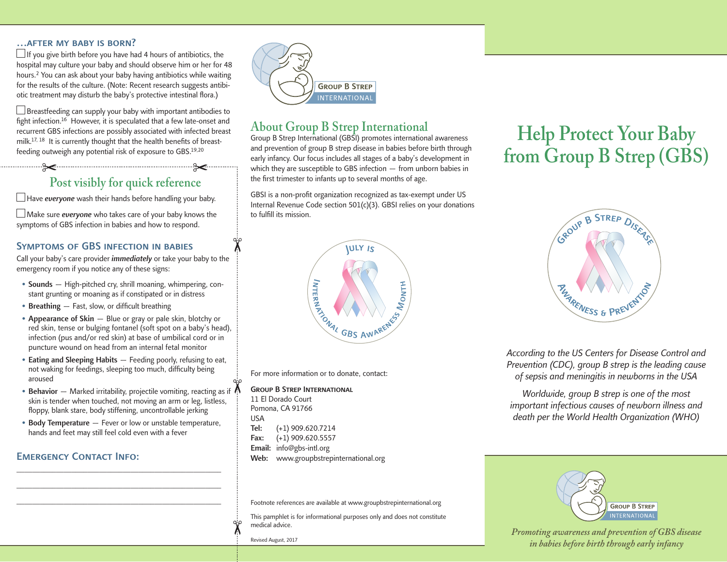#### …after my baby is born?

 $\Box$  If you give birth before you have had 4 hours of antibiotics, the hospital may culture your baby and should observe him or her for 48 hours.2 You can ask about your baby having antibiotics while waiting for the results of the culture. (Note: Recent research suggests antibiotic treatment may disturb the baby's protective intestinal flora.)

 $\Box$  Breastfeeding can supply your baby with important antibodies to fight infection.<sup>16</sup> However, it is speculated that a few late-onset and recurrent GBS infections are possibly associated with infected breast milk.<sup>17, 18</sup> It is currently thought that the health benefits of breastfeeding outweigh any potential risk of exposure to GBS.19,20

## $\sim$   $\sim$ **Post visibly for quick reference**

 $\Box$  Have everyone wash their hands before handling your baby.

 $\Box$  Make sure *everyone* who takes care of your baby knows the symptoms of GBS infection in babies and how to respond.

#### Symptoms of GBS infection in babies

Call your baby's care provider *immediately* or take your baby to the emergency room if you notice any of these signs:

- **Sounds** High-pitched cry, shrill moaning, whimpering, constant grunting or moaning as if constipated or in distress
- Breathing Fast, slow, or difficult breathing
- Appearance of Skin Blue or gray or pale skin, blotchy or red skin, tense or bulging fontanel (soft spot on a baby's head), infection (pus and/or red skin) at base of umbilical cord or in puncture wound on head from an internal fetal monitor
- Eating and Sleeping Habits Feeding poorly, refusing to eat, not waking for feedings, sleeping too much, difficulty being aroused
- Behavior  $-$  Marked irritability, projectile vomiting, reacting as if  $\Lambda$ skin is tender when touched, not moving an arm or leg, listless, floppy, blank stare, body stiffening, uncontrollable jerking
- Body Temperature Fever or low or unstable temperature, hands and feet may still feel cold even with a fever

\_\_\_\_\_\_\_\_\_\_\_\_\_\_\_\_\_\_\_\_\_\_\_\_\_\_\_\_\_\_\_\_\_\_\_\_\_\_\_\_\_\_\_\_\_\_\_\_\_\_\_\_ \_\_\_\_\_\_\_\_\_\_\_\_\_\_\_\_\_\_\_\_\_\_\_\_\_\_\_\_\_\_\_\_\_\_\_\_\_\_\_\_\_\_\_\_\_\_\_\_\_\_\_\_ \_\_\_\_\_\_\_\_\_\_\_\_\_\_\_\_\_\_\_\_\_\_\_\_\_\_\_\_\_\_\_\_\_\_\_\_\_\_\_\_\_\_\_\_\_\_\_\_\_\_\_\_

#### **EMERGENCY CONTACT INFO:**



## **About Group B Strep International**

Group B Strep International (GBSI) promotes international awareness and prevention of group B strep disease in babies before birth through early infancy. Our focus includes all stages of a baby's development in which they are susceptible to GBS infection — from unborn babies in the first trimester to infants up to several months of age.

GBSI is a non-profit organization recognized as tax-exempt under US Internal Revenue Code section 501(c)(3). GBSI relies on your donations to fulfill its mission.



For more information or to donate, contact:

Group B Strep International 11 El Dorado Court Pomona, CA 91766 USA Tel: (+1) 909.620.7214 Fax: (+1) 909.620.5557 Email: info@gbs-intl.org Web: www.groupbstrepinternational.org

Footnote references are available at www.groupbstrepinternational.org

This pamphlet is for informational purposes only and does not constitute medical advice.

Revised August, 2017

# **Help Protect Your Baby from Group B Strep (GBS)**



*According to the US Centers for Disease Control and Prevention (CDC), group B strep is the leading cause of sepsis and meningitis in newborns in the USA*

*Worldwide, group B strep is one of the most important infectious causes of newborn illness and death per the World Health Organization (WHO)*



*Promoting awareness and prevention of GBS disease in babies before birth through early infancy*